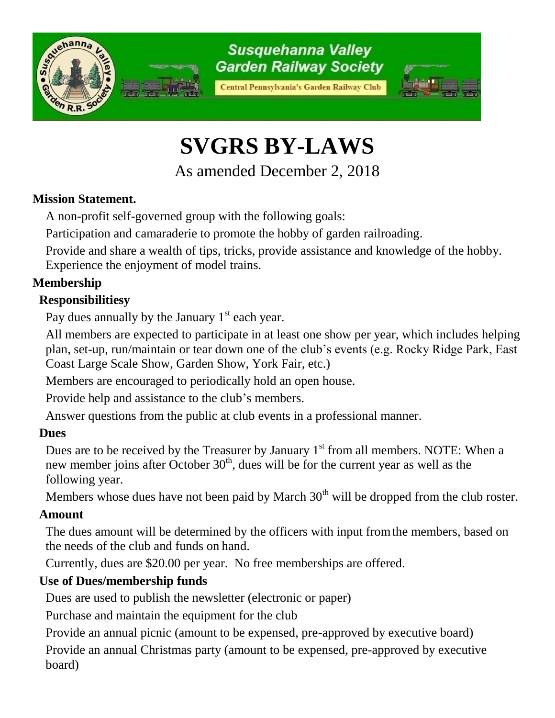

# **SVGRS BY-LAWS**

As amended December 2, 2018

## **Mission Statement.**

A non-profit self-governed group with the following goals:

Participation and camaraderie to promote the hobby of garden railroading.

Provide and share a wealth of tips, tricks, provide assistance and knowledge of the hobby. Experience the enjoyment of model trains.

#### **Membership**

#### **Responsibilitiesy**

Pay dues annually by the January  $1<sup>st</sup>$  each year.

All members are expected to participate in at least one show per year, which includes helping plan, set-up, run/maintain or tear down one of the club's events (e.g. Rocky Ridge Park, East Coast Large Scale Show, Garden Show, York Fair, etc.)

Members are encouraged to periodically hold an open house.

Provide help and assistance to the club's members.

Answer questions from the public at club events in a professional manner.

#### **Dues**

Dues are to be received by the Treasurer by January  $1<sup>st</sup>$  from all members. NOTE: When a new member joins after October  $30<sup>th</sup>$ , dues will be for the current year as well as the following year.

Members whose dues have not been paid by March  $30<sup>th</sup>$  will be dropped from the club roster.

#### **Amount**

The dues amount will be determined by the officers with input fromthe members, based on the needs of the club and funds on hand.

Currently, dues are \$20.00 per year. No free memberships are offered.

## **Use of Dues/membership funds**

Dues are used to publish the newsletter (electronic or paper)

Purchase and maintain the equipment for the club

Provide an annual picnic (amount to be expensed, pre-approved by executive board)

Provide an annual Christmas party (amount to be expensed, pre-approved by executive board)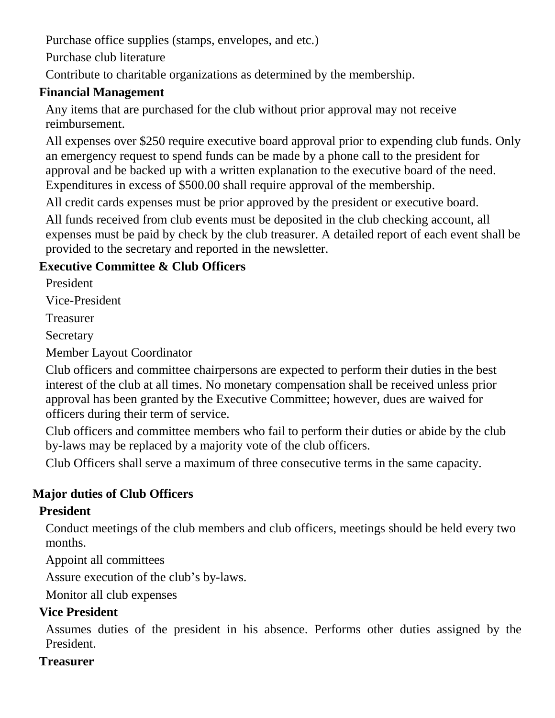Purchase office supplies (stamps, envelopes, and etc.)

Purchase club literature

Contribute to charitable organizations as determined by the membership.

#### **Financial Management**

Any items that are purchased for the club without prior approval may not receive reimbursement.

All expenses over \$250 require executive board approval prior to expending club funds. Only an emergency request to spend funds can be made by a phone call to the president for approval and be backed up with a written explanation to the executive board of the need. Expenditures in excess of \$500.00 shall require approval of the membership.

All credit cards expenses must be prior approved by the president or executive board.

All funds received from club events must be deposited in the club checking account, all expenses must be paid by check by the club treasurer. A detailed report of each event shall be provided to the secretary and reported in the newsletter.

## **Executive Committee & Club Officers**

President

Vice-President

Treasurer

**Secretary** 

Member Layout Coordinator

Club officers and committee chairpersons are expected to perform their duties in the best interest of the club at all times. No monetary compensation shall be received unless prior approval has been granted by the Executive Committee; however, dues are waived for officers during their term of service.

Club officers and committee members who fail to perform their duties or abide by the club by-laws may be replaced by a majority vote of the club officers.

Club Officers shall serve a maximum of three consecutive terms in the same capacity.

# **Major duties of Club Officers**

## **President**

Conduct meetings of the club members and club officers, meetings should be held every two months.

Appoint all committees

Assure execution of the club's by-laws.

Monitor all club expenses

## **Vice President**

Assumes duties of the president in his absence. Performs other duties assigned by the President.

## **Treasurer**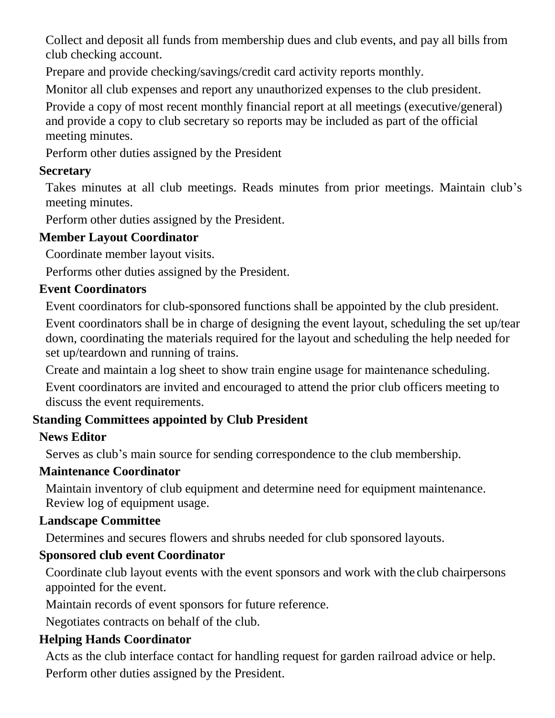Collect and deposit all funds from membership dues and club events, and pay all bills from club checking account.

Prepare and provide checking/savings/credit card activity reports monthly.

Monitor all club expenses and report any unauthorized expenses to the club president.

Provide a copy of most recent monthly financial report at all meetings (executive/general) and provide a copy to club secretary so reports may be included as part of the official meeting minutes.

Perform other duties assigned by the President

# **Secretary**

Takes minutes at all club meetings. Reads minutes from prior meetings. Maintain club's meeting minutes.

Perform other duties assigned by the President.

# **Member Layout Coordinator**

Coordinate member layout visits.

Performs other duties assigned by the President.

# **Event Coordinators**

Event coordinators for club-sponsored functions shall be appointed by the club president.

Event coordinators shall be in charge of designing the event layout, scheduling the set up/tear down, coordinating the materials required for the layout and scheduling the help needed for set up/teardown and running of trains.

Create and maintain a log sheet to show train engine usage for maintenance scheduling.

Event coordinators are invited and encouraged to attend the prior club officers meeting to discuss the event requirements.

# **Standing Committees appointed by Club President**

# **News Editor**

Serves as club's main source for sending correspondence to the club membership.

# **Maintenance Coordinator**

Maintain inventory of club equipment and determine need for equipment maintenance. Review log of equipment usage.

# **Landscape Committee**

Determines and secures flowers and shrubs needed for club sponsored layouts.

# **Sponsored club event Coordinator**

Coordinate club layout events with the event sponsors and work with the club chairpersons appointed for the event.

Maintain records of event sponsors for future reference.

Negotiates contracts on behalf of the club.

# **Helping Hands Coordinator**

Acts as the club interface contact for handling request for garden railroad advice or help. Perform other duties assigned by the President.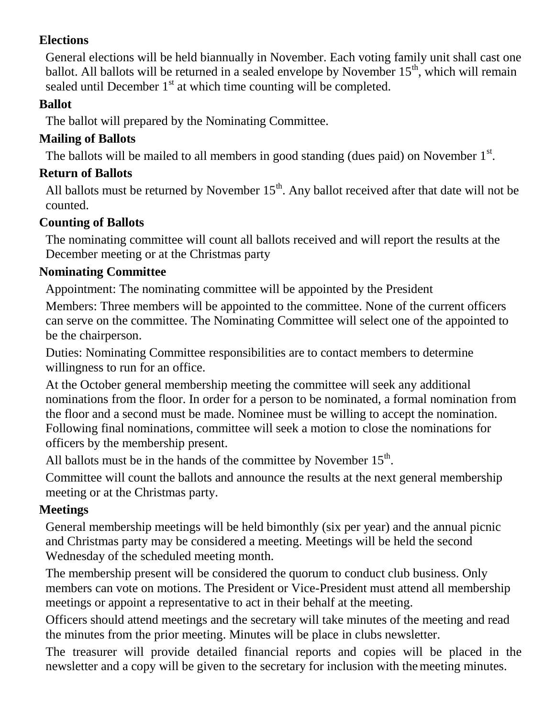#### **Elections**

General elections will be held biannually in November. Each voting family unit shall cast one ballot. All ballots will be returned in a sealed envelope by November  $15<sup>th</sup>$ , which will remain sealed until December  $1<sup>st</sup>$  at which time counting will be completed.

#### **Ballot**

The ballot will prepared by the Nominating Committee.

## **Mailing of Ballots**

The ballots will be mailed to all members in good standing (dues paid) on November  $1<sup>st</sup>$ .

## **Return of Ballots**

All ballots must be returned by November  $15<sup>th</sup>$ . Any ballot received after that date will not be counted.

## **Counting of Ballots**

The nominating committee will count all ballots received and will report the results at the December meeting or at the Christmas party

## **Nominating Committee**

Appointment: The nominating committee will be appointed by the President

Members: Three members will be appointed to the committee. None of the current officers can serve on the committee. The Nominating Committee will select one of the appointed to be the chairperson.

Duties: Nominating Committee responsibilities are to contact members to determine willingness to run for an office.

At the October general membership meeting the committee will seek any additional nominations from the floor. In order for a person to be nominated, a formal nomination from the floor and a second must be made. Nominee must be willing to accept the nomination. Following final nominations, committee will seek a motion to close the nominations for officers by the membership present.

All ballots must be in the hands of the committee by November  $15<sup>th</sup>$ .

Committee will count the ballots and announce the results at the next general membership meeting or at the Christmas party.

# **Meetings**

General membership meetings will be held bimonthly (six per year) and the annual picnic and Christmas party may be considered a meeting. Meetings will be held the second Wednesday of the scheduled meeting month.

The membership present will be considered the quorum to conduct club business. Only members can vote on motions. The President or Vice-President must attend all membership meetings or appoint a representative to act in their behalf at the meeting.

Officers should attend meetings and the secretary will take minutes of the meeting and read the minutes from the prior meeting. Minutes will be place in clubs newsletter.

The treasurer will provide detailed financial reports and copies will be placed in the newsletter and a copy will be given to the secretary for inclusion with the meeting minutes.